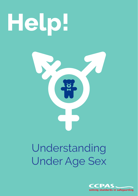# **Help!**



## Understanding Under Age Sex

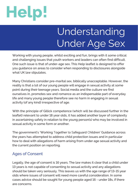

### Understanding Under Age Sex

Working with young people, whilst exciting and fun, brings with it some critical and challenging issues that youth workers and leaders can often find difficult. One such issue is that of under-age sex. This Help leaflet is designed to offer you guidance on areas to consider when responding to disclosures alongside what UK law stipulates.

Many Christians consider pre-marital sex, biblically unacceptable. However, the reality is that a lot of our young people will engage in sexual activity at some point during their teenage years. Social media and the culture we find ourselves in, promotes sex and romance as an indispensable part of everyday life and many young people therefore see no harm in engaging in sexual activity (of any kind) irrespective of age.

With the principle of Gillick competence (which will be discussed further in the leaflet) relevant to under 18 year olds, it has added another layer of complexity in ascertaining safety in relation to the young person(s) who may be involved in sexual activity in some form or another.

The government's 'Working Together to Safeguard Children' Guidance across the years has attempted to address child protection issues and in particular how to deal with allegations of harm arising from under age sexual activity and the current position on reporting.

#### Ages of Consent

Legally, the age of consent is 16 years. The law makes it clear that a child under 13 years is not capable of consenting to sexual activity and any allegations should be taken very seriously. This leaves us with the age range of 13-15 year olds where issues of consent will need more careful consideration. In some cases advice should be sought for young people aged 16 - under 18s, if there are concerns.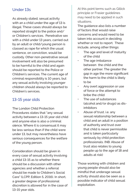#### Under 13s

As already stated, sexual activity with an a child under the age of 13 is illegal. These cases should always be reported straight to the police and/ or Children's services. Penetrative sex with a child under 13 years, carried out by an adult or child/young person is classed as rape for which the usual sentence, on conviction, would be custody. Other non-penetrative sexual involvement will also be presumed to be harmful to the child and again should be reported to the Police or Children's services. The current age of criminal responsibility is 10 years, but any sexual activity involving younger children should always be reported to Children's services.

#### 13-15 year olds

The London Child Protection Procedures states that "any sexual activity between a 13-15 year old child and anyone else is also a criminal olence. Where it is consensual it may be less serious than if the child were under 13, but may nevertheless have serious consequences for the welfare of the young person.

Consideration should be given in every case of sexual activity involving a child 13-15 as to whether there should be a discussion with other agencies and whether a referral should be made to Children's Social Care" (LCPP, Edition 5, 2016). In short a greater degree of professional discretion is allowed for in the case of 13-15 year olds.

At this point terms such as Gillick principle or Frasier guidelines may need to be applied in such situations.

The guidance also lists a number of factors that would raise concerns and would need to be taken into account in deciding whether or not to report. These include, among other things:

- The age and level of maturity of the child
- The age imbalance between the child and the other partner. The greater the gap in age the more significant the harm to the child is likely to be
- Any overt aggression or use of force or the attempt to bribe the child
- The use of substances (alcohol and/or drugs) as disinhibitors
- Abuse of trust. i.e. any sexual relationship between a child and an adult in a position of authority and trust over that child is never permissible and is taken particularly seriously by child protection professionals. (NB: Abuse of trust also relates to young people up to the age of 18 and adults at risk)

Those working with children and young people should also be mindful that underage sexual activity should also be seen as a possible indicator of child sexual exploitation.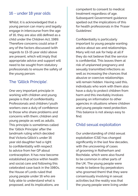#### 16 - under 18 year olds

Whilst, it is acknowledged that a young person can marry and legally engage in intercourse from the age of 16, they are also still defined as a child under the Children Act, 1989. Therefore concerns could arise if any of the factors discussed (with regards to 13-15 year olds) above are present, which will imply that appropriate advice and support will need to be sought from statutory professionals to ensure the safety of the young person.

#### The 'Gillick Principle'.

One very important principle in working with children and young people is that of confidentiality. Professionals and children/youth workers owe a duty of confidence to those who share problems and concerns with them; children and young people as well as adults. This principle is sometimes called the 'Gillick Principle' after the landmark ruling which decided that Victoria Gillick's under 16 year old daughter had a right to confidentiality with respect to advice from her GP about contraception. It has now become established practice within health and social care and following this celebrated case back in the 1980s, the House of Lords ruled that young people under 16 who are fully able to understand what is proposed, and its implications, are

competent to consent to medical treatment regardless of age. Subsequent Government guidance spelled out the implications of this for health professionals in the 'Fraser Guidelines'

Confidentiality is particularly important to young people wanting advice about sex and relationships. Many will not ask for help at all if they do not believe that the service is confidential. This leaves them at risk of unplanned pregnancy and sexually transmitted infections as well as increasing the chances that abusive or coercive relationships will remain hidden. Having said this, individuals who work with them also have a duty to protect children from harm and this inevitably involves passing on information to other agencies in situations where children and young people need protection. This balance is not always easy to find.

#### Child sexual exploitation

Our understanding of child sexual exploitation (CSE) has changed significantly in the last few decades, with the uncovering of cases of grooming in Rotherham and Rochdale, which were also found to be common in other parts of the UK. The young people were made to believe (by perpetrators who groomed them) that they were consensually involving in sexual activities but the reality was that the young people were living under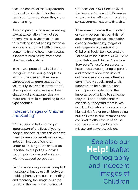fear and control of the perpetrators thus making it difficult for them to safely disclose the abuse they were experiencing.

A young person who is experiencing sexual exploitation may not see themselves as a victim of abuse thus making it challenging for those working or in contact with the young person to try and help them access support to break away from these abusive relationships.

In the past, professionals failed to recognise these young people as victims of abuse and they were stereotyped as promiscuous and voluntarily involved in 'prostitution'. These perceptions have now been challenged and all agencies are more proactive in responding to this type of abuse.

#### Indecent Images of Children and Sexting\*

With social media becoming an integral part of the lives of young people, the sexual risks this exposes them to, are also largely increased. Indecent images of children under 16 are illegal and should be reported to the police or advice sought prior to any confrontation with the alleged perpetrator.

Sexting is sending a sexually explicit message or image usually between mobile phones. The person sending and receiving the image could be breaking the law under the Sexual

Offences Act 2003. Section 67 of the Serious Crime Act 2015 creates a new criminal offence criminalising sexual communication with a child.

If there are concerns that the child or young person may be at risk of abuse through sexual exploitation, creating/exchanging images or online grooming, a referral to Children's Social Services and the Police must be initiated. CEOP (Child Exploitation and Online Protection Service) offer useful resources to help educate young people, parents and teachers about the risks of online abuse and sexual offences committed via social media. It is important to help children and young people understand the importance of talking to someone they trust about their concerns especially if they find themselves in difficult situations. Isolation is the highest risk factor for children being bullied in these circumstances and can lead to other forms of abuse such as self-harm, substance misuse and at worse, suicide.

> See also our Help! leaflet Pornography and Indecent Images of Children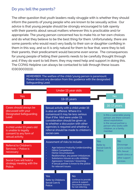#### Do you tell the parents?

The other question that youth leaders really struggle with is whether they should inform the parents of young people who are known to be sexually active. Our advice is that young people should be strongly encouraged to talk openly with their parents about sexual matters wherever this is practicable and/or appropriate. The young person concerned has to make his or her own choices and do what they believe to be the best thing for them. Unfortunately, there are some parents who would react very badly to their son or daughter confiding in them in this way, and so it is only natural for them to fear that, were they to tell their parents, their predicament would become even worse. The consequences for young people of telling their parents needs to be carefully thought through and, if they do want to tell them, they may need help and support in doing this. The CCPAS Helpline can always be contacted to talk through these issues (03030031111).



for not referring.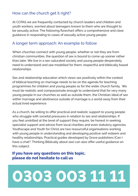#### How can the church get it right?

At CCPAS we are frequently contacted by church leaders and children and youth workers, worried about teenagers known to them who are thought to be sexually active. The following flowchart offers a comprehensive and clear guidance in responding to cases of sexually active young people.

#### A longer term approach: An example to follow

When churches connect with young people, whether or not they are from christian communities, the question of sex is bound to come up sooner rather than later. We live in a sex-saturated society and young people desperately need to understand and see modelled for them, respectful and biblically based relationships.

Sex and relationship education which views sex positively within the context of biblical teaching on marriage needs to be on the agenda for teaching programmes for children and young people as for the wider church family. We must be realistic and compassionate enough to understand that for very many young people in our churches as well as outside them, the Christian ideal of sex within marriage and abstinence outside of marriage is a world away from their actual lived experience.

As a church, be willing to offer practical and realistic support to young people who struggle with societal pressures in relation to sex and relationships. If you feel unskilled at the level of support they require, be honest in seeking specialist support and advice from local charities and even statutory agencies. Youthscape and Youth for Christ are two resourceful organisations working with young people in understanding and developing positive self-esteem and healthy relationships. Practical guides developed by Grove publishers (Can I have a chat?, Thinking Biblically about sex) can also offer useful guidance on this subject.

#### **If you have any questions on this topic, please do not hesitate to call us**

## **0303 003 11 11**